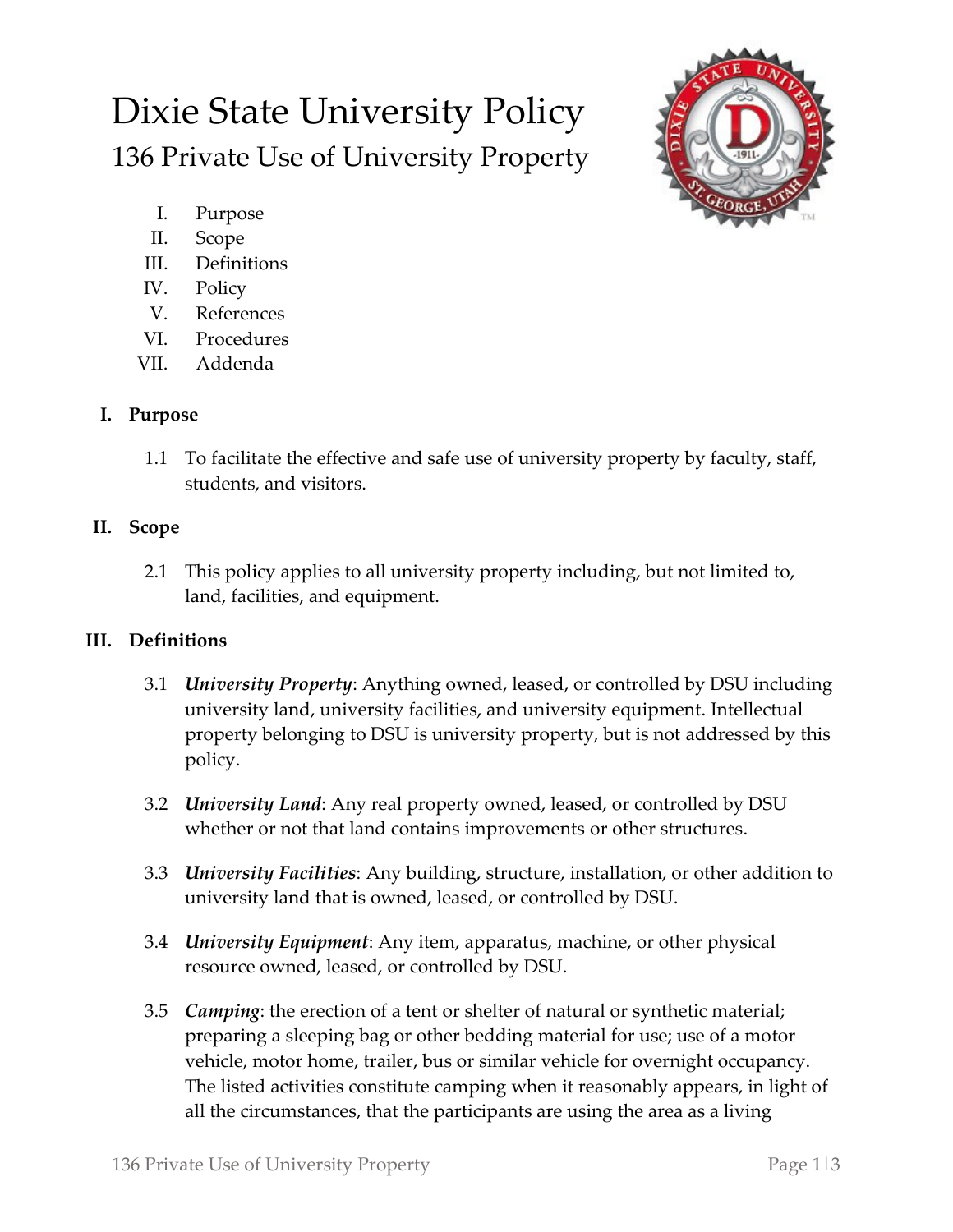# Dixie State University Policy 136 Private Use of University Property



- I. Purpose
- II. Scope
- III. Definitions
- IV. Policy
- V. References
- VI. Procedures
- VII. Addenda

### **I. Purpose**

1.1 To facilitate the effective and safe use of university property by faculty, staff, students, and visitors.

### **II. Scope**

2.1 This policy applies to all university property including, but not limited to, land, facilities, and equipment.

## **III. Definitions**

- 3.1 *University Property*: Anything owned, leased, or controlled by DSU including university land, university facilities, and university equipment. Intellectual property belonging to DSU is university property, but is not addressed by this policy.
- 3.2 *University Land*: Any real property owned, leased, or controlled by DSU whether or not that land contains improvements or other structures.
- 3.3 *University Facilities*: Any building, structure, installation, or other addition to university land that is owned, leased, or controlled by DSU.
- 3.4 *University Equipment*: Any item, apparatus, machine, or other physical resource owned, leased, or controlled by DSU.
- 3.5 *Camping*: the erection of a tent or shelter of natural or synthetic material; preparing a sleeping bag or other bedding material for use; use of a motor vehicle, motor home, trailer, bus or similar vehicle for overnight occupancy. The listed activities constitute camping when it reasonably appears, in light of all the circumstances, that the participants are using the area as a living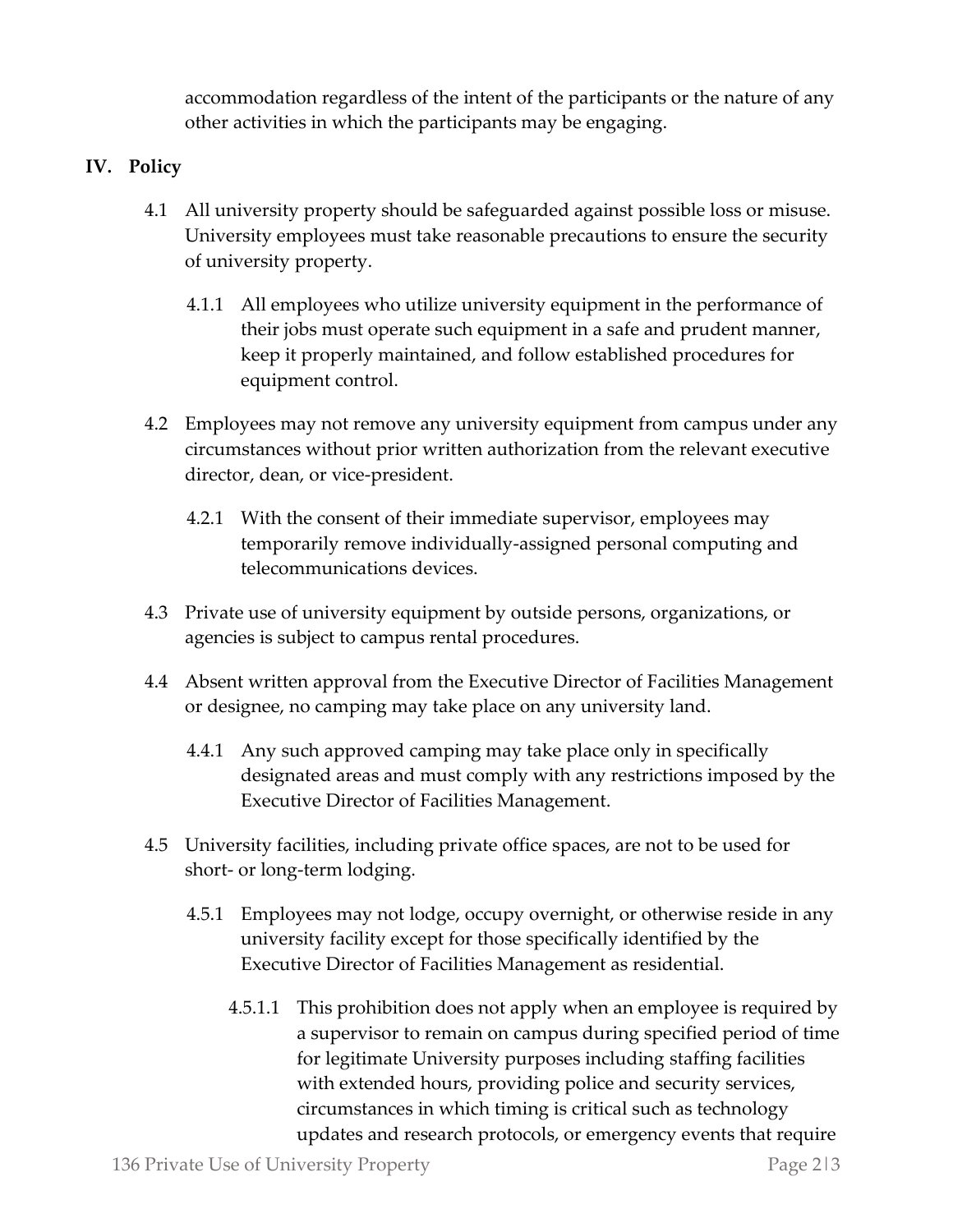accommodation regardless of the intent of the participants or the nature of any other activities in which the participants may be engaging.

#### **IV. Policy**

- 4.1 All university property should be safeguarded against possible loss or misuse. University employees must take reasonable precautions to ensure the security of university property.
	- 4.1.1 All employees who utilize university equipment in the performance of their jobs must operate such equipment in a safe and prudent manner, keep it properly maintained, and follow established procedures for equipment control.
- 4.2 Employees may not remove any university equipment from campus under any circumstances without prior written authorization from the relevant executive director, dean, or vice-president.
	- 4.2.1 With the consent of their immediate supervisor, employees may temporarily remove individually-assigned personal computing and telecommunications devices.
- 4.3 Private use of university equipment by outside persons, organizations, or agencies is subject to campus rental procedures.
- 4.4 Absent written approval from the Executive Director of Facilities Management or designee, no camping may take place on any university land.
	- 4.4.1 Any such approved camping may take place only in specifically designated areas and must comply with any restrictions imposed by the Executive Director of Facilities Management.
- 4.5 University facilities, including private office spaces, are not to be used for short- or long-term lodging.
	- 4.5.1 Employees may not lodge, occupy overnight, or otherwise reside in any university facility except for those specifically identified by the Executive Director of Facilities Management as residential.
		- 4.5.1.1 This prohibition does not apply when an employee is required by a supervisor to remain on campus during specified period of time for legitimate University purposes including staffing facilities with extended hours, providing police and security services, circumstances in which timing is critical such as technology updates and research protocols, or emergency events that require